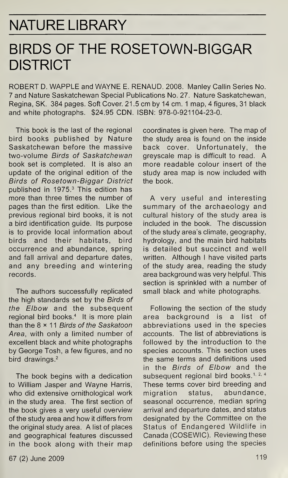## NATURE LIBRARY

## BIRDS OF THE ROSETOWN-BIGGAR **DISTRICT**

ROBERT D. WAPPLE and WAYNE E. RENAUD. 2008. Manley Callin Series No. 7 and Nature Saskatchewan Special Publications No. 27. Nature Saskatchewan, Regina, SK. 384 pages. Soft Cover. 21.5 cm by 14 cm. <sup>1</sup> map, 4 figures, 31 black and white photographs. \$24.95 CDN. ISBN: 978-0-921104-23-0.

This book is the last of the regional bird books published by Nature Saskatchewan before the massive two-volume Birds of Saskatchewan book set is completed. It is also an update of the original edition of the Birds of Rosetown-Biggar District published in 1975.<sup>3</sup> This edition has more than three times the number of pages than the first edition. Like the previous regional bird books, it is not a bird identification guide. Its purpose is to provide local information about birds and their habitats, bird occurrence and abundance, spring and fall arrival and departure dates, and any breeding and wintering records.

The authors successfully replicated the high standards set by the Birds of the Elbow and the subsequent regional bird books.<sup>4</sup> It is more plain than the  $8 \times 11$  Birds of the Saskatoon Area, with only a limited number of excellent black and white photographs by George Tosh, a few figures, and no bird drawings.<sup>2</sup>

The book begins with a dedication to William Jasper and Wayne Harris, who did extensive ornithological work in the study area. The first section of the book gives a very useful overview of the study area and how it differs from the original study area. A list of places and geographical features discussed in the book along with their map

coordinates is given here. The map of the study area is found on the inside back cover. Unfortunately, the greyscale map is difficult to read. A more readable colour insert of the study area map is now included with the book.

<sup>A</sup> very useful and interesting summary of the archaeology and cultural history of the study area is included in the book. The discussion of the study area's climate, geography, hydrology, and the main bird habitats is detailed but succinct and well written. Although <sup>I</sup> have visited parts of the study area, reading the study area background was very helpful. This section is sprinkled with a number of small black and white photographs.

Following the section of the study area background is a list of abbreviations used in the species accounts. The list of abbreviations is followed by the introduction to the species accounts. This section uses the same terms and definitions used in the Birds of Elbow and the subsequent regional bird books.<sup>1, 2, 4</sup> These terms cover bird breeding and migration status, abundance, seasonal occurrence, median spring arrival and departure dates, and status designated by the Committee on the Status of Endangered Wildlife in Canada (COSEWIC). Reviewing these definitions before using the species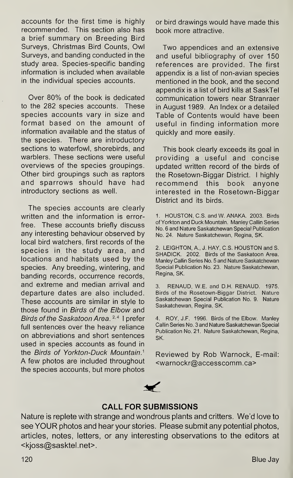accounts for the first time is highly recommended. This section also has a brief summary on Breeding Bird Surveys, Christmas Bird Counts, Owl Surveys, and banding conducted in the study area. Species-specific banding information is included when available in the individual species accounts.

Over 80% of the book is dedicated to the 282 species accounts. These species accounts vary in size and format based on the amount of information available and the status of the species. There are introductory sections to waterfowl, shorebirds, and warblers. These sections were useful overviews of the species groupings. Other bird groupings such as raptors and sparrows should have had introductory sections as well.

The species accounts are clearly written and the information is errorfree. These accounts briefly discuss any interesting behaviour observed by local bird watchers, first records of the species in the study area, and locations and habitats used by the species. Any breeding, wintering, and banding records, occurrence records, and extreme and median arrival and departure dates are also included. These accounts are similar in style to those found in Birds of the Elbow and Birds of the Saskatoon Area.<sup>2,4</sup> I prefer full sentences over the heavy reliance on abbreviations and short sentences used in species accounts as found in the Birds of Yorkton-Duck Mountain.1 A few photos are included throughout the species accounts, but more photos or bird drawings would have made this book more attractive.

Two appendices and an extensive and useful bibliography of over 150 references are provided. The first appendix is a list of non-avian species mentioned in the book, and the second appendix is a list of bird kills at SaskTel communication towers near Stranraer in August 1989. An Index or a detailed Table of Contents would have been useful in finding information more quickly and more easily.

This book clearly exceeds its goal in providing a useful and concise updated written record of the birds of the Rosetown-Biggar District. <sup>I</sup> highly recommend this book anyone interested in the Rosetown-Biggar District and its birds.

1. HOUSTON, C.S. and W. ANAKA. 2003. Birds of Yorkton and Duck Mountain. Manley Callin Series No. 6 and Nature Saskatchewan Special Publication No. 24. Nature Saskatchewan, Regina, SK.

2. LEIGHTON, A., J. HAY, C.S. HOUSTON and S. SHADICK. 2002. Birds of the Saskatoon Area. Manley Callin Series No. 5 and Nature Saskatchewan Special Publication No. 23. Nature Saskatchewan, Regina, SK.

3. RENAUD, W.E. and D.H. RENAUD. 1975. Birds of the Rosetown-Biggar District. Nature Saskatchewan Special Publication No. 9. Nature Saskatchewan, Regina, SK.

4. ROY, J.F. 1996. Birds of the Elbow. Manley Callin Series No. 3 and Nature Saskatchewan Special Publication No. 21. Nature Saskatchewan, Regina, SK.

Reviewed by Rob Warnock, E-mail: <warnockr@accesscomm.ca>



## CALL FOR SUBMISSIONS

Nature is replete with strange and wondrous plants and critters. We'd love to see YOUR photos and hear your stories. Please submit any potential photos, articles, notes, letters, or any interesting observations to the editors at <kjoss@sasktel.net>.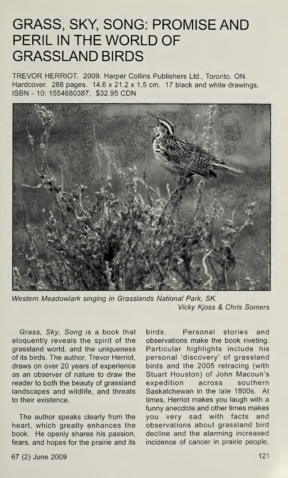## GRASS, SKY, SONG: PROMISE AND PERIL IN THE WORLD OF GRASSLAND BIRDS

TREVOR HERRIOT. 2009. Harper Collins Publishers Ltd., Toronto. ON. Hardcover. 288 pages. 14.6 x 21.2 x 1.5 cm. 17 black and white drawings. ISBN - 10: 1554680387. \$32.95 CDN



Western Meadowlark singing in Grasslands National Park, SK. Vicky Kjoss & Chris Somers

Grass, Sky, Song is a book that eloquently reveals the spirit of the grassland world, and the uniqueness of its birds. The author, Trevor Herriot, draws on over 20 years of experience as an observer of nature to draw the reader to both the beauty of grassland landscapes and wildlife, and threats to their existence.

The author speaks clearly from the heart, which greatly enhances the book. He openly shares his passion, fears, and hopes for the prairie and its birds. Personal stories and observations make the book riveting. Particular highlights include his personal 'discovery' of grassland birds and the 2005 retracing (with Stuart Houston) of John Macoun's expedition across southern Saskatchewan in the late 1800s. At times, Herriot makes you laugh with a funny anecdote and other times makes you very sad with facts and observations about grassland bird decline and the alarming increased incidence of cancer in prairie people,